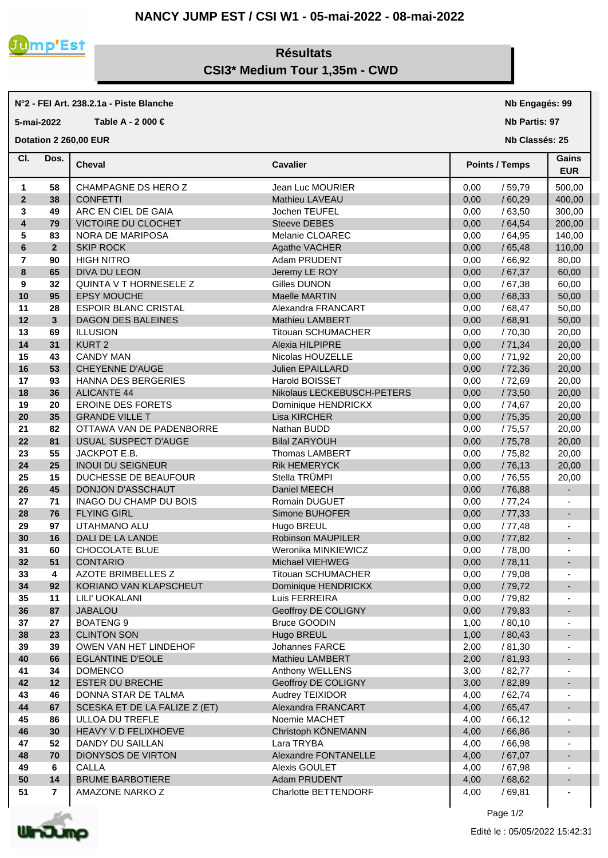## **NANCY JUMP EST / CSI W1 - 05-mai-2022 - 08-mai-2022**



## **Résultats CSI3\* Medium Tour 1,35m - CWD**

## **N°2 - FEI Art. 238.2.1a - Piste Blanche**

**5-mai-2022 Table A - 2 000 €**

**Dotation 2 260,00 EUR** 

| CI.                     | Dos.           | <b>Cheval</b>                 | <b>Cavalier</b>                     | <b>Points / Temps</b>  | Gains<br><b>EUR</b>      |
|-------------------------|----------------|-------------------------------|-------------------------------------|------------------------|--------------------------|
| 1                       | 58             | CHAMPAGNE DS HERO Z           | Jean Luc MOURIER                    | 0,00<br>/59,79         | 500,00                   |
| $\overline{2}$          | 38             | <b>CONFETTI</b>               | Mathieu LAVEAU                      | /60,29<br>0,00         | 400,00                   |
| 3                       | 49             | ARC EN CIEL DE GAIA           | Jochen TEUFEL                       | 0,00<br>/63,50         | 300,00                   |
| $\overline{\mathbf{4}}$ | 79             | VICTOIRE DU CLOCHET           | Steeve DEBES                        | /64,54<br>0,00         | 200,00                   |
| 5                       | 83             | NORA DE MARIPOSA              | Melanie CLOAREC                     | 0,00<br>/64,95         | 140,00                   |
| 6                       | $\overline{2}$ | <b>SKIP ROCK</b>              | Agathe VACHER                       | 0,00<br>/65,48         | 110,00                   |
| $\overline{7}$          | 90             | <b>HIGH NITRO</b>             | Adam PRUDENT                        | 0,00<br>/66,92         | 80,00                    |
| 8                       | 65             | DIVA DU LEON                  | Jeremy LE ROY                       | 0,00<br>/67,37         | 60,00                    |
| 9                       | 32             | QUINTA V T HORNESELE Z        | Gilles DUNON                        | 0,00<br>/67,38         | 60,00                    |
|                         |                | <b>EPSY MOUCHE</b>            |                                     |                        |                          |
| 10<br>11                | 95<br>28       | <b>ESPOIR BLANC CRISTAL</b>   | Maelle MARTIN<br>Alexandra FRANCART | 0,00<br>/68,33<br>0,00 | 50,00                    |
|                         |                | <b>DAGON DES BALEINES</b>     |                                     | /68,47                 | 50,00                    |
| 12                      | 3              |                               | <b>Mathieu LAMBERT</b>              | /68,91<br>0,00         | 50,00                    |
| 13                      | 69             | <b>ILLUSION</b>               | <b>Titouan SCHUMACHER</b>           | 0,00<br>/70,30         | 20,00                    |
| 14                      | 31             | KURT <sub>2</sub>             | Alexia HILPIPRE                     | /71,34<br>0,00         | 20,00                    |
| 15                      | 43             | <b>CANDY MAN</b>              | Nicolas HOUZELLE                    | /71,92<br>0,00         | 20,00                    |
| 16                      | 53             | <b>CHEYENNE D'AUGE</b>        | Julien EPAILLARD                    | 0,00<br>/72,36         | 20,00                    |
| 17                      | 93             | HANNA DES BERGERIES           | Harold BOISSET                      | 0,00<br>/ 72,69        | 20,00                    |
| 18                      | 36             | <b>ALICANTE 44</b>            | Nikolaus LECKEBUSCH-PETERS          | 0,00<br>/73,50         | 20,00                    |
| 19                      | 20             | <b>EROINE DES FORETS</b>      | Dominique HENDRICKX                 | 0,00<br>/ 74,67        | 20,00                    |
| 20                      | 35             | <b>GRANDE VILLE T</b>         | Lisa KIRCHER                        | 0,00<br>/ 75,35        | 20,00                    |
| 21                      | 82             | OTTAWA VAN DE PADENBORRE      | Nathan BUDD                         | 0,00<br>/ 75,57        | 20,00                    |
| 22                      | 81             | USUAL SUSPECT D'AUGE          | <b>Bilal ZARYOUH</b>                | /75,78<br>0,00         | 20,00                    |
| 23                      | 55             | JACKPOT E.B.                  | Thomas LAMBERT                      | 0,00<br>/ 75,82        | 20,00                    |
| 24                      | 25             | <b>INOUI DU SEIGNEUR</b>      | <b>Rik HEMERYCK</b>                 | 0,00<br>/76,13         | 20,00                    |
| 25                      | 15             | DUCHESSE DE BEAUFOUR          | Stella TRÜMPI                       | 0,00<br>/ 76,55        | 20,00                    |
| 26                      | 45             | DONJON D'ASSCHAUT             | Daniel MEECH                        | 0,00<br>/76,88         |                          |
| 27                      | 71             | INAGO DU CHAMP DU BOIS        | Romain DUGUET                       | 0,00<br>/77,24         |                          |
| 28                      | 76             | <b>FLYING GIRL</b>            | Simone BUHOFER                      | 0,00<br>/77,33         | $\overline{\phantom{a}}$ |
| 29                      | 97             | UTAHMANO ALU                  | Hugo BREUL                          | 0,00<br>/77,48         |                          |
| 30                      | 16             | DALI DE LA LANDE              | Robinson MAUPILER                   | 0,00<br>/ 77,82        |                          |
| 31                      | 60             | CHOCOLATE BLUE                | Weronika MINKIEWICZ                 | /78,00<br>0,00         |                          |
| 32                      | 51             | <b>CONTARIO</b>               | Michael VIEHWEG                     | 0,00<br>/78,11         | $\blacksquare$           |
| 33                      | 4              | <b>AZOTE BRIMBELLES Z</b>     | <b>Titouan SCHUMACHER</b>           | 0,00<br>/ 79,08        |                          |
| 34                      | 92             | KORIANO VAN KLAPSCHEUT        | Dominique HENDRICKX                 | 0,00<br>/79,72         | $\overline{\phantom{a}}$ |
| 35                      | 11             | LILI' UOKALANI                | Luis FERREIRA                       | 0,00<br>/ 79,82        |                          |
| 36                      | 87             | <b>JABALOU</b>                | Geoffroy DE COLIGNY                 | 0,00<br>/79,83         |                          |
| 37                      | 27             | <b>BOATENG 9</b>              | <b>Bruce GOODIN</b>                 | /80,10<br>1,00         |                          |
| 38                      | 23             | <b>CLINTON SON</b>            | Hugo BREUL                          | 1,00<br>/ 80,43        |                          |
| 39                      | 39             | OWEN VAN HET LINDEHOF         | Johannes FARCE                      | 2,00<br>/81,30         |                          |
| 40                      | 66             | <b>EGLANTINE D'EOLE</b>       | Mathieu LAMBERT                     | 2,00<br>/ 81,93        | $\overline{\phantom{a}}$ |
| 41                      | 34             | <b>DOMENCO</b>                | Anthony WELLENS                     | 3,00<br>/82,77         |                          |
| 42                      | 12             | <b>ESTER DU BRECHE</b>        | Geoffroy DE COLIGNY                 | 3,00<br>/ 82,89        | $\overline{\phantom{a}}$ |
| 43                      | 46             | DONNA STAR DE TALMA           | Audrey TEIXIDOR                     | 4,00<br>/62,74         |                          |
| 44                      | 67             | SCESKA ET DE LA FALIZE Z (ET) | Alexandra FRANCART                  | /65,47<br>4,00         |                          |
| 45                      | 86             | ULLOA DU TREFLE               | Noemie MACHET                       | 4,00<br>/66,12         |                          |
| 46                      | 30             | HEAVY V D FELIXHOEVE          | Christoph KÖNEMANN                  | 4,00<br>/ 66,86        |                          |
| 47                      | 52             | DANDY DU SAILLAN              | Lara TRYBA                          | 4,00<br>/66,98         |                          |
| 48                      | 70             | DIONYSOS DE VIRTON            | Alexandre FONTANELLE                | 4,00<br>/67,07         | ٠                        |
| 49                      | 6              | <b>CALLA</b>                  | Alexis GOULET                       | 4,00<br>/ 67,98        |                          |
| 50                      | 14             | <b>BRUME BARBOTIERE</b>       | Adam PRUDENT                        | / 68,62<br>4,00        |                          |
| 51                      | $\overline{7}$ | AMAZONE NARKO Z               | Charlotte BETTENDORF                | 4,00<br>/69,81         | ÷,                       |



**Nb Engagés: 99 Nb Partis: 97 Nb Classés: 25**